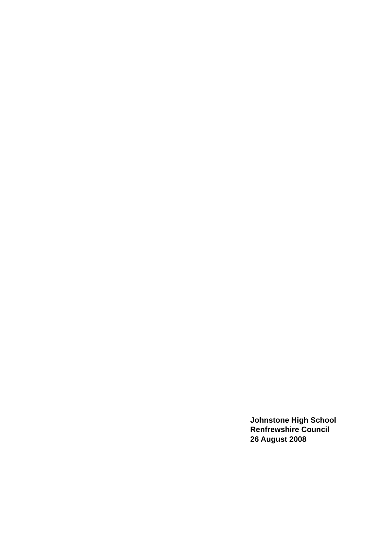**Johnstone High School Renfrewshire Council 26 August 2008**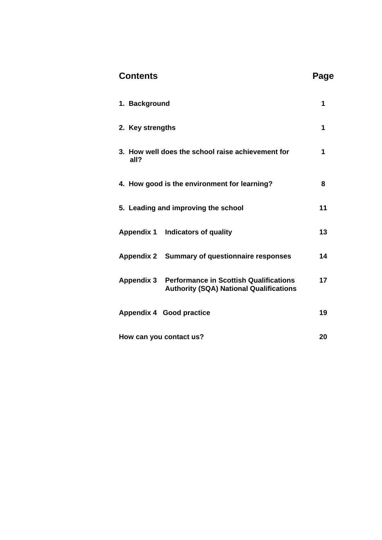| <b>Contents</b>                                                                                            | Page |
|------------------------------------------------------------------------------------------------------------|------|
| 1. Background                                                                                              | 1    |
| 2. Key strengths                                                                                           | 1    |
| 3. How well does the school raise achievement for<br>all?                                                  | 1    |
| 4. How good is the environment for learning?                                                               | 8    |
| 5. Leading and improving the school                                                                        | 11   |
| Appendix 1 Indicators of quality                                                                           | 13   |
| Appendix 2 Summary of questionnaire responses                                                              | 14   |
| <b>Appendix 3 Performance in Scottish Qualifications</b><br><b>Authority (SQA) National Qualifications</b> | 17   |
| <b>Appendix 4 Good practice</b>                                                                            | 19   |
| How can you contact us?                                                                                    | 20   |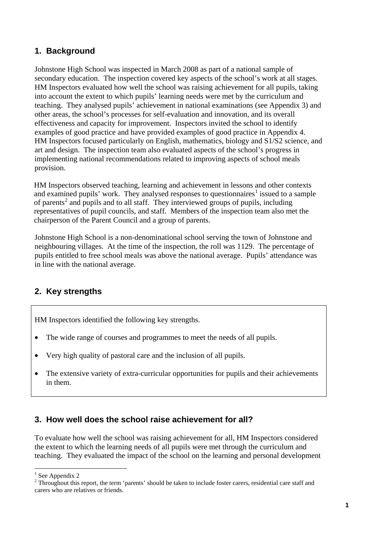# **1. Background**

Johnstone High School was inspected in March 2008 as part of a national sample of secondary education. The inspection covered key aspects of the school's work at all stages. HM Inspectors evaluated how well the school was raising achievement for all pupils, taking into account the extent to which pupils' learning needs were met by the curriculum and teaching. They analysed pupils' achievement in national examinations (see Appendix 3) and other areas, the school's processes for self-evaluation and innovation, and its overall effectiveness and capacity for improvement. Inspectors invited the school to identify examples of good practice and have provided examples of good practice in Appendix 4. HM Inspectors focused particularly on English, mathematics, biology and S1/S2 science, and art and design. The inspection team also evaluated aspects of the school's progress in implementing national recommendations related to improving aspects of school meals provision.

HM Inspectors observed teaching, learning and achievement in lessons and other contexts and examined pupils' work. They analysed responses to questionnaires<sup>[1](#page-2-0)</sup> issued to a sample of parents<sup>[2](#page-2-1)</sup> and pupils and to all staff. They interviewed groups of pupils, including representatives of pupil councils, and staff. Members of the inspection team also met the chairperson of the Parent Council and a group of parents.

Johnstone High School is a non-denominational school serving the town of Johnstone and neighbouring villages. At the time of the inspection, the roll was 1129. The percentage of pupils entitled to free school meals was above the national average. Pupils' attendance was in line with the national average.

# **2. Key strengths**

HM Inspectors identified the following key strengths.

- The wide range of courses and programmes to meet the needs of all pupils.
- Very high quality of pastoral care and the inclusion of all pupils.
- The extensive variety of extra-curricular opportunities for pupils and their achievements in them.

## **3. How well does the school raise achievement for all?**

To evaluate how well the school was raising achievement for all, HM Inspectors considered the extent to which the learning needs of all pupils were met through the curriculum and teaching. They evaluated the impact of the school on the learning and personal development

-

<span id="page-2-0"></span><sup>&</sup>lt;sup>1</sup> See Appendix 2

<span id="page-2-1"></span> $2$  Throughout this report, the term 'parents' should be taken to include foster carers, residential care staff and carers who are relatives or friends.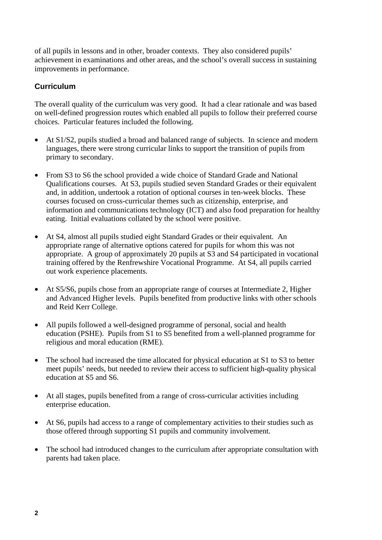of all pupils in lessons and in other, broader contexts. They also considered pupils' achievement in examinations and other areas, and the school's overall success in sustaining improvements in performance.

### **Curriculum**

The overall quality of the curriculum was very good. It had a clear rationale and was based on well-defined progression routes which enabled all pupils to follow their preferred course choices. Particular features included the following.

- At S1/S2, pupils studied a broad and balanced range of subjects. In science and modern languages, there were strong curricular links to support the transition of pupils from primary to secondary.
- From S3 to S6 the school provided a wide choice of Standard Grade and National Qualifications courses. At S3, pupils studied seven Standard Grades or their equivalent and, in addition, undertook a rotation of optional courses in ten-week blocks. These courses focused on cross-curricular themes such as citizenship, enterprise, and information and communications technology (ICT) and also food preparation for healthy eating. Initial evaluations collated by the school were positive.
- At S4, almost all pupils studied eight Standard Grades or their equivalent. An appropriate range of alternative options catered for pupils for whom this was not appropriate. A group of approximately 20 pupils at S3 and S4 participated in vocational training offered by the Renfrewshire Vocational Programme. At S4, all pupils carried out work experience placements.
- At S5/S6, pupils chose from an appropriate range of courses at Intermediate 2, Higher and Advanced Higher levels. Pupils benefited from productive links with other schools and Reid Kerr College.
- All pupils followed a well-designed programme of personal, social and health education (PSHE). Pupils from S1 to S5 benefited from a well-planned programme for religious and moral education (RME).
- The school had increased the time allocated for physical education at S1 to S3 to better meet pupils' needs, but needed to review their access to sufficient high-quality physical education at S5 and S6.
- At all stages, pupils benefited from a range of cross-curricular activities including enterprise education.
- At S6, pupils had access to a range of complementary activities to their studies such as those offered through supporting S1 pupils and community involvement.
- The school had introduced changes to the curriculum after appropriate consultation with parents had taken place.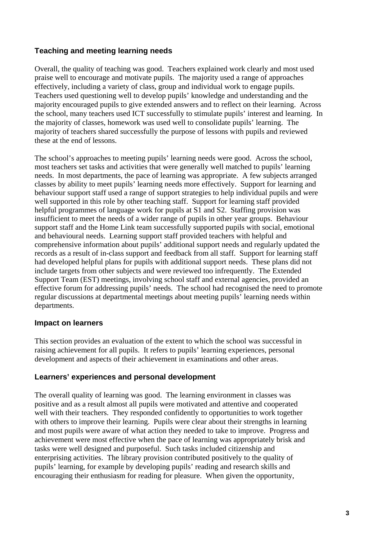## **Teaching and meeting learning needs**

Overall, the quality of teaching was good. Teachers explained work clearly and most used praise well to encourage and motivate pupils. The majority used a range of approaches effectively, including a variety of class, group and individual work to engage pupils. Teachers used questioning well to develop pupils' knowledge and understanding and the majority encouraged pupils to give extended answers and to reflect on their learning. Across the school, many teachers used ICT successfully to stimulate pupils' interest and learning. In the majority of classes, homework was used well to consolidate pupils' learning. The majority of teachers shared successfully the purpose of lessons with pupils and reviewed these at the end of lessons.

The school's approaches to meeting pupils' learning needs were good. Across the school, most teachers set tasks and activities that were generally well matched to pupils' learning needs. In most departments, the pace of learning was appropriate. A few subjects arranged classes by ability to meet pupils' learning needs more effectively. Support for learning and behaviour support staff used a range of support strategies to help individual pupils and were well supported in this role by other teaching staff. Support for learning staff provided helpful programmes of language work for pupils at S1 and S2. Staffing provision was insufficient to meet the needs of a wider range of pupils in other year groups. Behaviour support staff and the Home Link team successfully supported pupils with social, emotional and behavioural needs. Learning support staff provided teachers with helpful and comprehensive information about pupils' additional support needs and regularly updated the records as a result of in-class support and feedback from all staff. Support for learning staff had developed helpful plans for pupils with additional support needs. These plans did not include targets from other subjects and were reviewed too infrequently. The Extended Support Team (EST) meetings, involving school staff and external agencies, provided an effective forum for addressing pupils' needs. The school had recognised the need to promote regular discussions at departmental meetings about meeting pupils' learning needs within departments.

## **Impact on learners**

This section provides an evaluation of the extent to which the school was successful in raising achievement for all pupils. It refers to pupils' learning experiences, personal development and aspects of their achievement in examinations and other areas.

#### **Learners' experiences and personal development**

The overall quality of learning was good. The learning environment in classes was positive and as a result almost all pupils were motivated and attentive and cooperated well with their teachers. They responded confidently to opportunities to work together with others to improve their learning. Pupils were clear about their strengths in learning and most pupils were aware of what action they needed to take to improve. Progress and achievement were most effective when the pace of learning was appropriately brisk and tasks were well designed and purposeful. Such tasks included citizenship and enterprising activities. The library provision contributed positively to the quality of pupils' learning, for example by developing pupils' reading and research skills and encouraging their enthusiasm for reading for pleasure. When given the opportunity,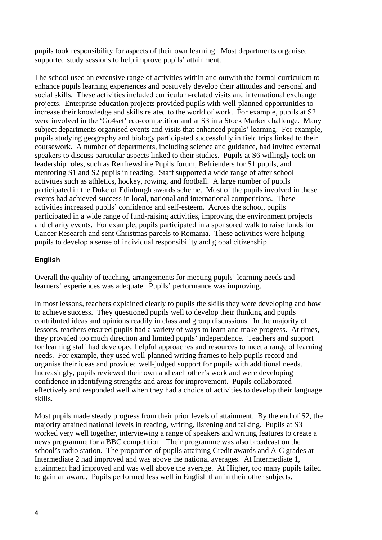pupils took responsibility for aspects of their own learning. Most departments organised supported study sessions to help improve pupils' attainment.

The school used an extensive range of activities within and outwith the formal curriculum to enhance pupils learning experiences and positively develop their attitudes and personal and social skills. These activities included curriculum-related visits and international exchange projects. Enterprise education projects provided pupils with well-planned opportunities to increase their knowledge and skills related to the world of work. For example, pupils at S2 were involved in the 'Go4set' eco-competition and at S3 in a Stock Market challenge. Many subject departments organised events and visits that enhanced pupils' learning. For example, pupils studying geography and biology participated successfully in field trips linked to their coursework. A number of departments, including science and guidance, had invited external speakers to discuss particular aspects linked to their studies. Pupils at S6 willingly took on leadership roles, such as Renfrewshire Pupils forum, Befrienders for S1 pupils, and mentoring S1 and S2 pupils in reading. Staff supported a wide range of after school activities such as athletics, hockey, rowing, and football. A large number of pupils participated in the Duke of Edinburgh awards scheme. Most of the pupils involved in these events had achieved success in local, national and international competitions. These activities increased pupils' confidence and self-esteem. Across the school, pupils participated in a wide range of fund-raising activities, improving the environment projects and charity events. For example, pupils participated in a sponsored walk to raise funds for Cancer Research and sent Christmas parcels to Romania. These activities were helping pupils to develop a sense of individual responsibility and global citizenship.

#### **English**

Overall the quality of teaching, arrangements for meeting pupils' learning needs and learners' experiences was adequate. Pupils' performance was improving.

In most lessons, teachers explained clearly to pupils the skills they were developing and how to achieve success. They questioned pupils well to develop their thinking and pupils contributed ideas and opinions readily in class and group discussions. In the majority of lessons, teachers ensured pupils had a variety of ways to learn and make progress. At times, they provided too much direction and limited pupils' independence. Teachers and support for learning staff had developed helpful approaches and resources to meet a range of learning needs. For example, they used well-planned writing frames to help pupils record and organise their ideas and provided well-judged support for pupils with additional needs. Increasingly, pupils reviewed their own and each other's work and were developing confidence in identifying strengths and areas for improvement. Pupils collaborated effectively and responded well when they had a choice of activities to develop their language skills.

Most pupils made steady progress from their prior levels of attainment. By the end of S2, the majority attained national levels in reading, writing, listening and talking. Pupils at S3 worked very well together, interviewing a range of speakers and writing features to create a news programme for a BBC competition. Their programme was also broadcast on the school's radio station. The proportion of pupils attaining Credit awards and A-C grades at Intermediate 2 had improved and was above the national averages. At Intermediate 1, attainment had improved and was well above the average. At Higher, too many pupils failed to gain an award. Pupils performed less well in English than in their other subjects.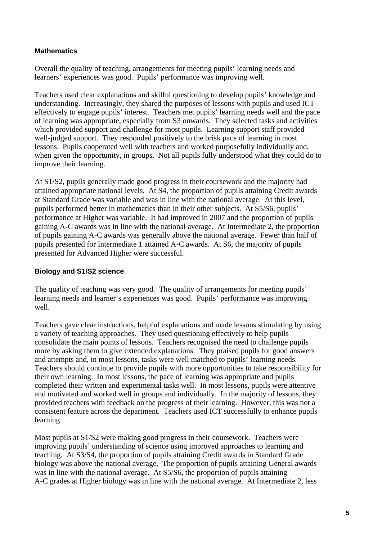#### **Mathematics**

Overall the quality of teaching, arrangements for meeting pupils' learning needs and learners' experiences was good. Pupils' performance was improving well.

Teachers used clear explanations and skilful questioning to develop pupils' knowledge and understanding. Increasingly, they shared the purposes of lessons with pupils and used ICT effectively to engage pupils' interest. Teachers met pupils' learning needs well and the pace of learning was appropriate, especially from S3 onwards. They selected tasks and activities which provided support and challenge for most pupils. Learning support staff provided well-judged support. They responded positively to the brisk pace of learning in most lessons. Pupils cooperated well with teachers and worked purposefully individually and, when given the opportunity, in groups. Not all pupils fully understood what they could do to improve their learning.

At S1/S2, pupils generally made good progress in their coursework and the majority had attained appropriate national levels. At S4, the proportion of pupils attaining Credit awards at Standard Grade was variable and was in line with the national average. At this level, pupils performed better in mathematics than in their other subjects. At S5/S6, pupils' performance at Higher was variable. It had improved in 2007 and the proportion of pupils gaining A-C awards was in line with the national average. At Intermediate 2, the proportion of pupils gaining A-C awards was generally above the national average. Fewer than half of pupils presented for Intermediate 1 attained A-C awards. At S6, the majority of pupils presented for Advanced Higher were successful.

#### **Biology and S1/S2 science**

The quality of teaching was very good. The quality of arrangements for meeting pupils' learning needs and learner's experiences was good. Pupils' performance was improving well.

Teachers gave clear instructions, helpful explanations and made lessons stimulating by using a variety of teaching approaches. They used questioning effectively to help pupils consolidate the main points of lessons. Teachers recognised the need to challenge pupils more by asking them to give extended explanations. They praised pupils for good answers and attempts and, in most lessons, tasks were well matched to pupils' learning needs. Teachers should continue to provide pupils with more opportunities to take responsibility for their own learning. In most lessons, the pace of learning was appropriate and pupils completed their written and experimental tasks well. In most lessons, pupils were attentive and motivated and worked well in groups and individually. In the majority of lessons, they provided teachers with feedback on the progress of their learning. However, this was not a consistent feature across the department. Teachers used ICT successfully to enhance pupils learning.

Most pupils at S1/S2 were making good progress in their coursework. Teachers were improving pupils' understanding of science using improved approaches to learning and teaching. At S3/S4, the proportion of pupils attaining Credit awards in Standard Grade biology was above the national average. The proportion of pupils attaining General awards was in line with the national average. At S5/S6, the proportion of pupils attaining A-C grades at Higher biology was in line with the national average. At Intermediate 2, less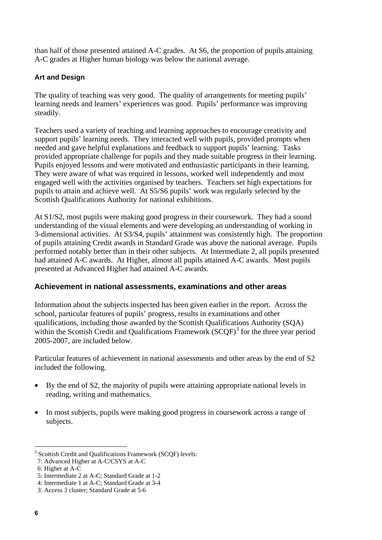<span id="page-7-0"></span>than half of those presented attained A-C grades. At S6, the proportion of pupils attaining A-C grades at Higher human biology was below the national average.

#### **Art and Design**

The quality of teaching was very good. The quality of arrangements for meeting pupils' learning needs and learners' experiences was good. Pupils' performance was improving steadily.

Teachers used a variety of teaching and learning approaches to encourage creativity and support pupils' learning needs. They interacted well with pupils, provided prompts when needed and gave helpful explanations and feedback to support pupils' learning. Tasks provided appropriate challenge for pupils and they made suitable progress in their learning. Pupils enjoyed lessons and were motivated and enthusiastic participants in their learning. They were aware of what was required in lessons, worked well independently and most engaged well with the activities organised by teachers. Teachers set high expectations for pupils to attain and achieve well. At S5/S6 pupils' work was regularly selected by the Scottish Qualifications Authority for national exhibitions.

At S1/S2, most pupils were making good progress in their coursework. They had a sound understanding of the visual elements and were developing an understanding of working in 3-dimensional activities. At S3/S4, pupils' attainment was consistently high. The proportion of pupils attaining Credit awards in Standard Grade was above the national average. Pupils performed notably better than in their other subjects. At Intermediate 2, all pupils presented had attained A-C awards. At Higher, almost all pupils attained A-C awards. Most pupils presented at Advanced Higher had attained A-C awards.

#### **Achievement in national assessments, examinations and other areas**

Information about the subjects inspected has been given earlier in the report. Across the school, particular features of pupils' progress, results in examinations and other qualifications, including those awarded by the Scottish Qualifications Authority (SQA) within the Scottish Credit and Qualifications Framework  $(SCQF)^3$  $(SCQF)^3$  for the three year period 2005-2007, are included below.

Particular features of achievement in national assessments and other areas by the end of S2 included the following.

- By the end of S2, the majority of pupils were attaining appropriate national levels in reading, writing and mathematics.
- In most subjects, pupils were making good progress in coursework across a range of subjects.

-

<sup>&</sup>lt;sup>3</sup> Scottish Credit and Qualifications Framework (SCQF) levels:

 <sup>7:</sup> Advanced Higher at A-C/CSYS at A-C

 <sup>6:</sup> Higher at A-C

 <sup>5:</sup> Intermediate 2 at A-C; Standard Grade at 1-2

 <sup>4:</sup> Intermediate 1 at A-C; Standard Grade at 3-4

 <sup>3:</sup> Access 3 cluster; Standard Grade at 5-6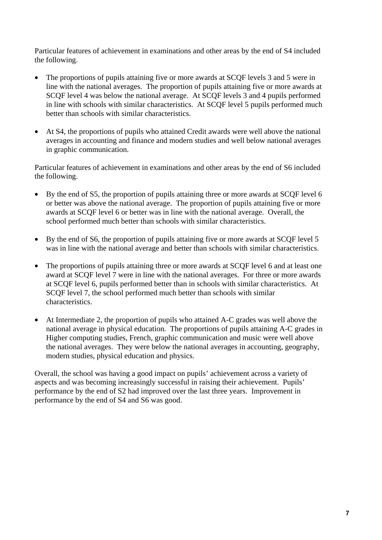Particular features of achievement in examinations and other areas by the end of S4 included the following.

- The proportions of pupils attaining five or more awards at SCQF levels 3 and 5 were in line with the national averages. The proportion of pupils attaining five or more awards at SCQF level 4 was below the national average. At SCQF levels 3 and 4 pupils performed in line with schools with similar characteristics. At SCQF level 5 pupils performed much better than schools with similar characteristics.
- At S4, the proportions of pupils who attained Credit awards were well above the national averages in accounting and finance and modern studies and well below national averages in graphic communication.

Particular features of achievement in examinations and other areas by the end of S6 included the following.

- By the end of S5, the proportion of pupils attaining three or more awards at SCQF level 6 or better was above the national average. The proportion of pupils attaining five or more awards at SCQF level 6 or better was in line with the national average. Overall, the school performed much better than schools with similar characteristics.
- By the end of S6, the proportion of pupils attaining five or more awards at SCQF level 5 was in line with the national average and better than schools with similar characteristics.
- The proportions of pupils attaining three or more awards at SCQF level 6 and at least one award at SCQF level 7 were in line with the national averages. For three or more awards at SCQF level 6, pupils performed better than in schools with similar characteristics. At SCQF level 7, the school performed much better than schools with similar characteristics.
- At Intermediate 2, the proportion of pupils who attained A-C grades was well above the national average in physical education. The proportions of pupils attaining A-C grades in Higher computing studies, French, graphic communication and music were well above the national averages. They were below the national averages in accounting, geography, modern studies, physical education and physics.

Overall, the school was having a good impact on pupils' achievement across a variety of aspects and was becoming increasingly successful in raising their achievement. Pupils' performance by the end of S2 had improved over the last three years. Improvement in performance by the end of S4 and S6 was good.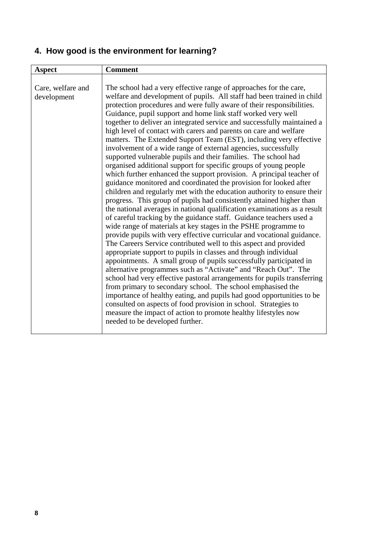# **4. How good is the environment for learning?**

| <b>Aspect</b>                    | <b>Comment</b>                                                                                                                                                                                                                                                                                                                                                                                                                                                                                                                                                                                                                                                                                                                                                                                                                                                                                                                                                                                                                                                                                                                                                                                                                                                                                                                                                                                                                                                                                                                                                                                                                                                                                                                                                                                                                                                                                                                                                                              |
|----------------------------------|---------------------------------------------------------------------------------------------------------------------------------------------------------------------------------------------------------------------------------------------------------------------------------------------------------------------------------------------------------------------------------------------------------------------------------------------------------------------------------------------------------------------------------------------------------------------------------------------------------------------------------------------------------------------------------------------------------------------------------------------------------------------------------------------------------------------------------------------------------------------------------------------------------------------------------------------------------------------------------------------------------------------------------------------------------------------------------------------------------------------------------------------------------------------------------------------------------------------------------------------------------------------------------------------------------------------------------------------------------------------------------------------------------------------------------------------------------------------------------------------------------------------------------------------------------------------------------------------------------------------------------------------------------------------------------------------------------------------------------------------------------------------------------------------------------------------------------------------------------------------------------------------------------------------------------------------------------------------------------------------|
| Care, welfare and<br>development | The school had a very effective range of approaches for the care,<br>welfare and development of pupils. All staff had been trained in child<br>protection procedures and were fully aware of their responsibilities.<br>Guidance, pupil support and home link staff worked very well<br>together to deliver an integrated service and successfully maintained a<br>high level of contact with carers and parents on care and welfare<br>matters. The Extended Support Team (EST), including very effective<br>involvement of a wide range of external agencies, successfully<br>supported vulnerable pupils and their families. The school had<br>organised additional support for specific groups of young people<br>which further enhanced the support provision. A principal teacher of<br>guidance monitored and coordinated the provision for looked after<br>children and regularly met with the education authority to ensure their<br>progress. This group of pupils had consistently attained higher than<br>the national averages in national qualification examinations as a result<br>of careful tracking by the guidance staff. Guidance teachers used a<br>wide range of materials at key stages in the PSHE programme to<br>provide pupils with very effective curricular and vocational guidance.<br>The Careers Service contributed well to this aspect and provided<br>appropriate support to pupils in classes and through individual<br>appointments. A small group of pupils successfully participated in<br>alternative programmes such as "Activate" and "Reach Out". The<br>school had very effective pastoral arrangements for pupils transferring<br>from primary to secondary school. The school emphasised the<br>importance of healthy eating, and pupils had good opportunities to be<br>consulted on aspects of food provision in school. Strategies to<br>measure the impact of action to promote healthy lifestyles now<br>needed to be developed further. |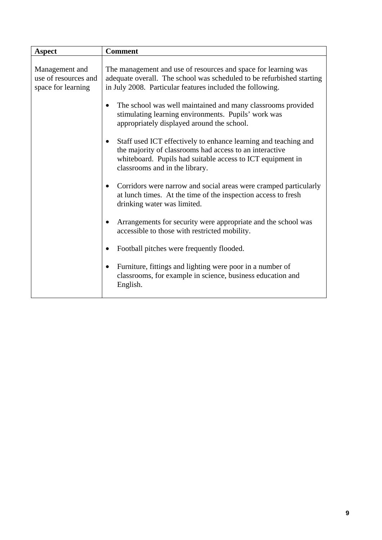| <b>Aspect</b>                                                | <b>Comment</b>                                                                                                                                                                                                                          |
|--------------------------------------------------------------|-----------------------------------------------------------------------------------------------------------------------------------------------------------------------------------------------------------------------------------------|
| Management and<br>use of resources and<br>space for learning | The management and use of resources and space for learning was<br>adequate overall. The school was scheduled to be refurbished starting<br>in July 2008. Particular features included the following.                                    |
|                                                              | The school was well maintained and many classrooms provided<br>stimulating learning environments. Pupils' work was<br>appropriately displayed around the school.                                                                        |
|                                                              | Staff used ICT effectively to enhance learning and teaching and<br>$\bullet$<br>the majority of classrooms had access to an interactive<br>whiteboard. Pupils had suitable access to ICT equipment in<br>classrooms and in the library. |
|                                                              | Corridors were narrow and social areas were cramped particularly<br>$\bullet$<br>at lunch times. At the time of the inspection access to fresh<br>drinking water was limited.                                                           |
|                                                              | Arrangements for security were appropriate and the school was<br>$\bullet$<br>accessible to those with restricted mobility.                                                                                                             |
|                                                              | Football pitches were frequently flooded.                                                                                                                                                                                               |
|                                                              | Furniture, fittings and lighting were poor in a number of<br>$\bullet$<br>classrooms, for example in science, business education and<br>English.                                                                                        |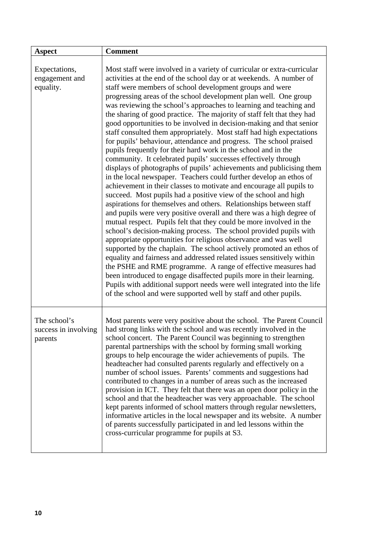| <b>Aspect</b>                                   | <b>Comment</b>                                                                                                                                                                                                                                                                                                                                                                                                                                                                                                                                                                                                                                                                                                                                                                                                                                                                                                                                                                                                                                                                                                                                                                                                                                                                                                                                                                                                                                                                                                                                                                                                                                                                                                                                                                                                                                                                         |
|-------------------------------------------------|----------------------------------------------------------------------------------------------------------------------------------------------------------------------------------------------------------------------------------------------------------------------------------------------------------------------------------------------------------------------------------------------------------------------------------------------------------------------------------------------------------------------------------------------------------------------------------------------------------------------------------------------------------------------------------------------------------------------------------------------------------------------------------------------------------------------------------------------------------------------------------------------------------------------------------------------------------------------------------------------------------------------------------------------------------------------------------------------------------------------------------------------------------------------------------------------------------------------------------------------------------------------------------------------------------------------------------------------------------------------------------------------------------------------------------------------------------------------------------------------------------------------------------------------------------------------------------------------------------------------------------------------------------------------------------------------------------------------------------------------------------------------------------------------------------------------------------------------------------------------------------------|
| Expectations,<br>engagement and<br>equality.    | Most staff were involved in a variety of curricular or extra-curricular<br>activities at the end of the school day or at weekends. A number of<br>staff were members of school development groups and were<br>progressing areas of the school development plan well. One group<br>was reviewing the school's approaches to learning and teaching and<br>the sharing of good practice. The majority of staff felt that they had<br>good opportunities to be involved in decision-making and that senior<br>staff consulted them appropriately. Most staff had high expectations<br>for pupils' behaviour, attendance and progress. The school praised<br>pupils frequently for their hard work in the school and in the<br>community. It celebrated pupils' successes effectively through<br>displays of photographs of pupils' achievements and publicising them<br>in the local newspaper. Teachers could further develop an ethos of<br>achievement in their classes to motivate and encourage all pupils to<br>succeed. Most pupils had a positive view of the school and high<br>aspirations for themselves and others. Relationships between staff<br>and pupils were very positive overall and there was a high degree of<br>mutual respect. Pupils felt that they could be more involved in the<br>school's decision-making process. The school provided pupils with<br>appropriate opportunities for religious observance and was well<br>supported by the chaplain. The school actively promoted an ethos of<br>equality and fairness and addressed related issues sensitively within<br>the PSHE and RME programme. A range of effective measures had<br>been introduced to engage disaffected pupils more in their learning.<br>Pupils with additional support needs were well integrated into the life<br>of the school and were supported well by staff and other pupils. |
| The school's<br>success in involving<br>parents | Most parents were very positive about the school. The Parent Council<br>had strong links with the school and was recently involved in the<br>school concert. The Parent Council was beginning to strengthen<br>parental partnerships with the school by forming small working<br>groups to help encourage the wider achievements of pupils. The<br>headteacher had consulted parents regularly and effectively on a<br>number of school issues. Parents' comments and suggestions had<br>contributed to changes in a number of areas such as the increased<br>provision in ICT. They felt that there was an open door policy in the<br>school and that the headteacher was very approachable. The school<br>kept parents informed of school matters through regular newsletters,<br>informative articles in the local newspaper and its website. A number<br>of parents successfully participated in and led lessons within the<br>cross-curricular programme for pupils at S3.                                                                                                                                                                                                                                                                                                                                                                                                                                                                                                                                                                                                                                                                                                                                                                                                                                                                                                        |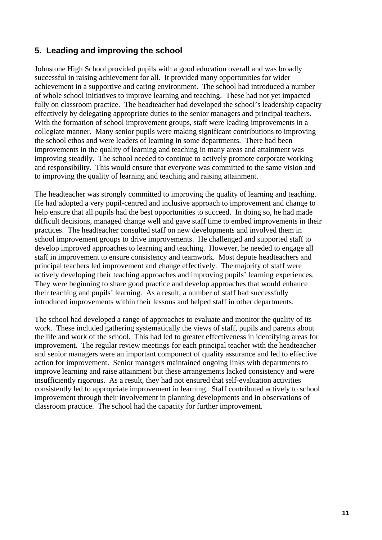# **5. Leading and improving the school**

Johnstone High School provided pupils with a good education overall and was broadly successful in raising achievement for all. It provided many opportunities for wider achievement in a supportive and caring environment. The school had introduced a number of whole school initiatives to improve learning and teaching. These had not yet impacted fully on classroom practice. The headteacher had developed the school's leadership capacity effectively by delegating appropriate duties to the senior managers and principal teachers. With the formation of school improvement groups, staff were leading improvements in a collegiate manner. Many senior pupils were making significant contributions to improving the school ethos and were leaders of learning in some departments. There had been improvements in the quality of learning and teaching in many areas and attainment was improving steadily. The school needed to continue to actively promote corporate working and responsibility. This would ensure that everyone was committed to the same vision and to improving the quality of learning and teaching and raising attainment.

The headteacher was strongly committed to improving the quality of learning and teaching. He had adopted a very pupil-centred and inclusive approach to improvement and change to help ensure that all pupils had the best opportunities to succeed. In doing so, he had made difficult decisions, managed change well and gave staff time to embed improvements in their practices. The headteacher consulted staff on new developments and involved them in school improvement groups to drive improvements. He challenged and supported staff to develop improved approaches to learning and teaching. However, he needed to engage all staff in improvement to ensure consistency and teamwork. Most depute headteachers and principal teachers led improvement and change effectively. The majority of staff were actively developing their teaching approaches and improving pupils' learning experiences. They were beginning to share good practice and develop approaches that would enhance their teaching and pupils' learning. As a result, a number of staff had successfully introduced improvements within their lessons and helped staff in other departments.

The school had developed a range of approaches to evaluate and monitor the quality of its work. These included gathering systematically the views of staff, pupils and parents about the life and work of the school. This had led to greater effectiveness in identifying areas for improvement. The regular review meetings for each principal teacher with the headteacher and senior managers were an important component of quality assurance and led to effective action for improvement. Senior managers maintained ongoing links with departments to improve learning and raise attainment but these arrangements lacked consistency and were insufficiently rigorous. As a result, they had not ensured that self-evaluation activities consistently led to appropriate improvement in learning. Staff contributed actively to school improvement through their involvement in planning developments and in observations of classroom practice. The school had the capacity for further improvement.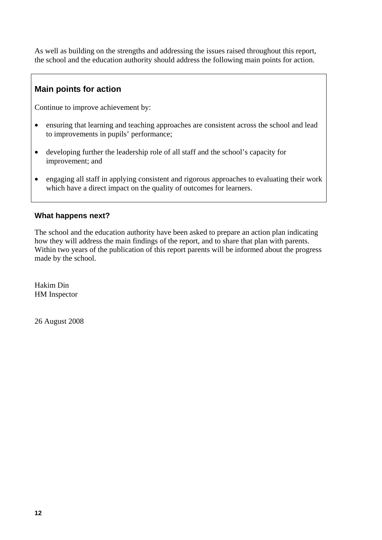As well as building on the strengths and addressing the issues raised throughout this report, the school and the education authority should address the following main points for action.

# **Main points for action**

Continue to improve achievement by:

- ensuring that learning and teaching approaches are consistent across the school and lead to improvements in pupils' performance;
- developing further the leadership role of all staff and the school's capacity for improvement; and
- engaging all staff in applying consistent and rigorous approaches to evaluating their work which have a direct impact on the quality of outcomes for learners.

## **What happens next?**

The school and the education authority have been asked to prepare an action plan indicating how they will address the main findings of the report, and to share that plan with parents. Within two years of the publication of this report parents will be informed about the progress made by the school.

Hakim Din HM Inspector

26 August 2008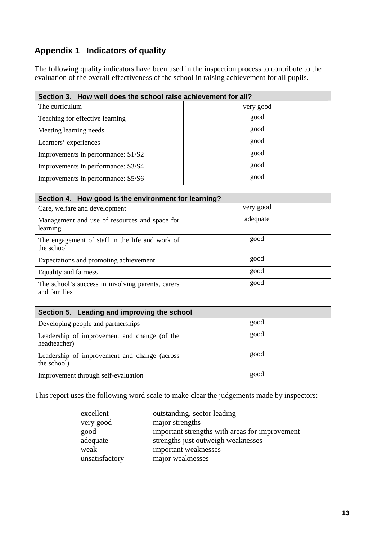# **Appendix 1 Indicators of quality**

The following quality indicators have been used in the inspection process to contribute to the evaluation of the overall effectiveness of the school in raising achievement for all pupils.

| Section 3. How well does the school raise achievement for all? |           |  |
|----------------------------------------------------------------|-----------|--|
| The curriculum                                                 | very good |  |
| Teaching for effective learning                                | good      |  |
| Meeting learning needs                                         | good      |  |
| Learners' experiences                                          | good      |  |
| Improvements in performance: S1/S2                             | good      |  |
| Improvements in performance: S3/S4                             | good      |  |
| Improvements in performance: S5/S6                             | good      |  |

| Section 4. How good is the environment for learning?              |           |
|-------------------------------------------------------------------|-----------|
| Care, welfare and development                                     | very good |
| Management and use of resources and space for<br>learning         | adequate  |
| The engagement of staff in the life and work of<br>the school     | good      |
| Expectations and promoting achievement                            | good      |
| Equality and fairness                                             | good      |
| The school's success in involving parents, carers<br>and families | good      |

| Section 5. Leading and improving the school                  |      |  |  |
|--------------------------------------------------------------|------|--|--|
| Developing people and partnerships                           | good |  |  |
| Leadership of improvement and change (of the<br>headteacher) | good |  |  |
| Leadership of improvement and change (across)<br>the school) | good |  |  |
| Improvement through self-evaluation                          | good |  |  |

This report uses the following word scale to make clear the judgements made by inspectors:

| excellent      | outstanding, sector leading                    |
|----------------|------------------------------------------------|
| very good      | major strengths                                |
| good           | important strengths with areas for improvement |
| adequate       | strengths just outweigh weaknesses             |
| weak           | important weaknesses                           |
| unsatisfactory | major weaknesses                               |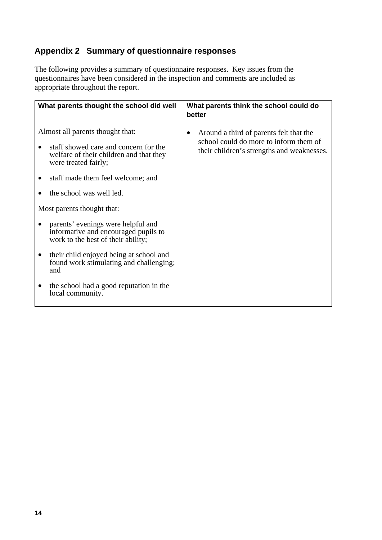# **Appendix 2 Summary of questionnaire responses**

The following provides a summary of questionnaire responses. Key issues from the questionnaires have been considered in the inspection and comments are included as appropriate throughout the report.

|           | What parents thought the school did well                                                                                                                                                                                                                                                                                                                                                                                                                     | What parents think the school could do<br>better                                                                                |
|-----------|--------------------------------------------------------------------------------------------------------------------------------------------------------------------------------------------------------------------------------------------------------------------------------------------------------------------------------------------------------------------------------------------------------------------------------------------------------------|---------------------------------------------------------------------------------------------------------------------------------|
| $\bullet$ | Almost all parents thought that:<br>staff showed care and concern for the<br>welfare of their children and that they<br>were treated fairly;<br>staff made them feel welcome; and<br>the school was well led.<br>Most parents thought that:<br>parents' evenings were helpful and<br>informative and encouraged pupils to<br>work to the best of their ability;<br>their child enjoyed being at school and<br>found work stimulating and challenging;<br>and | Around a third of parents felt that the<br>school could do more to inform them of<br>their children's strengths and weaknesses. |
|           | the school had a good reputation in the<br>local community.                                                                                                                                                                                                                                                                                                                                                                                                  |                                                                                                                                 |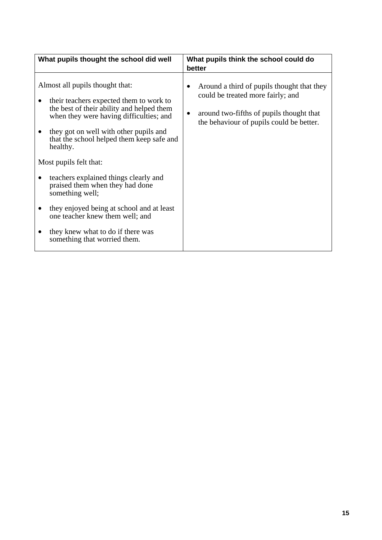| What pupils thought the school did well                                                                                                                                                                                                                                                                                                                                                                                                                                                                                                             | What pupils think the school could do<br>better                                                                                                                         |
|-----------------------------------------------------------------------------------------------------------------------------------------------------------------------------------------------------------------------------------------------------------------------------------------------------------------------------------------------------------------------------------------------------------------------------------------------------------------------------------------------------------------------------------------------------|-------------------------------------------------------------------------------------------------------------------------------------------------------------------------|
| Almost all pupils thought that:<br>their teachers expected them to work to<br>the best of their ability and helped them<br>when they were having difficulties; and<br>they got on well with other pupils and<br>that the school helped them keep safe and<br>healthy.<br>Most pupils felt that:<br>teachers explained things clearly and<br>praised them when they had done<br>something well;<br>they enjoyed being at school and at least<br>one teacher knew them well; and<br>they knew what to do if there was<br>something that worried them. | Around a third of pupils thought that they<br>could be treated more fairly; and<br>around two-fifths of pupils thought that<br>the behaviour of pupils could be better. |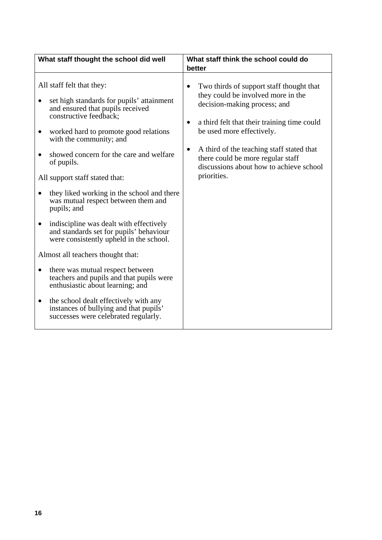| What staff thought the school did well                                                                                                                                                                                                                                                                                                                                                                                                                                                                                                                                                                                                                                                                                                                                                                                                                           | What staff think the school could do<br>better                                                                                                                                                                                                                                                                                                                        |
|------------------------------------------------------------------------------------------------------------------------------------------------------------------------------------------------------------------------------------------------------------------------------------------------------------------------------------------------------------------------------------------------------------------------------------------------------------------------------------------------------------------------------------------------------------------------------------------------------------------------------------------------------------------------------------------------------------------------------------------------------------------------------------------------------------------------------------------------------------------|-----------------------------------------------------------------------------------------------------------------------------------------------------------------------------------------------------------------------------------------------------------------------------------------------------------------------------------------------------------------------|
| All staff felt that they:<br>set high standards for pupils' attainment<br>and ensured that pupils received<br>constructive feedback;<br>worked hard to promote good relations<br>$\bullet$<br>with the community; and<br>showed concern for the care and welfare<br>of pupils.<br>All support staff stated that:<br>they liked working in the school and there<br>was mutual respect between them and<br>pupils; and<br>indiscipline was dealt with effectively<br>٠<br>and standards set for pupils' behaviour<br>were consistently upheld in the school.<br>Almost all teachers thought that:<br>there was mutual respect between<br>$\bullet$<br>teachers and pupils and that pupils were<br>enthusiastic about learning; and<br>the school dealt effectively with any<br>٠<br>instances of bullying and that pupils'<br>successes were celebrated regularly. | Two thirds of support staff thought that<br>٠<br>they could be involved more in the<br>decision-making process; and<br>a third felt that their training time could<br>$\bullet$<br>be used more effectively.<br>A third of the teaching staff stated that<br>$\bullet$<br>there could be more regular staff<br>discussions about how to achieve school<br>priorities. |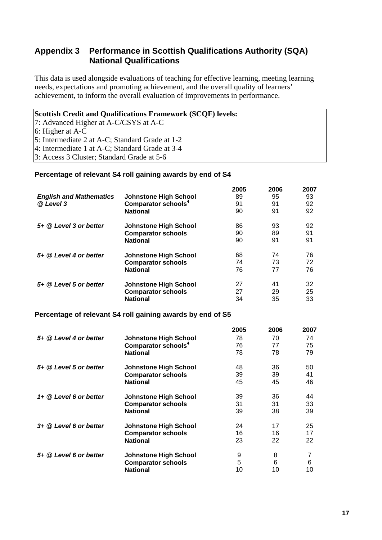## **Appendix 3 Performance in Scottish Qualifications Authority (SQA) National Qualifications**

This data is used alongside evaluations of teaching for effective learning, meeting learning needs, expectations and promoting achievement, and the overall quality of learners' achievement, to inform the overall evaluation of improvements in performance.

#### **Scottish Credit and Qualifications Framework (SCQF) levels:**

7: Advanced Higher at A-C/CSYS at A-C

6: Higher at A-C

5: Intermediate 2 at A-C; Standard Grade at 1-2

4: Intermediate 1 at A-C; Standard Grade at 3-4

3: Access 3 Cluster; Standard Grade at 5-6

#### **Percentage of relevant S4 roll gaining awards by end of S4**

|                                |                                                            | 2005 | 2006 | 2007 |
|--------------------------------|------------------------------------------------------------|------|------|------|
| <b>English and Mathematics</b> | <b>Johnstone High School</b>                               | 89   | 95   | 93   |
| @ Level 3                      | Comparator schools <sup>4</sup>                            | 91   | 91   | 92   |
|                                | <b>National</b>                                            | 90   | 91   | 92   |
| 5+ @ Level 3 or better         | <b>Johnstone High School</b>                               | 86   | 93   | 92   |
|                                | <b>Comparator schools</b>                                  | 90   | 89   | 91   |
|                                | <b>National</b>                                            | 90   | 91   | 91   |
| 5+ @ Level 4 or better         | <b>Johnstone High School</b>                               | 68   | 74   | 76   |
|                                | <b>Comparator schools</b>                                  | 74   | 73   | 72   |
|                                | <b>National</b>                                            | 76   | 77   | 76   |
| 5+ @ Level 5 or better         | <b>Johnstone High School</b>                               | 27   | 41   | 32   |
|                                | <b>Comparator schools</b>                                  | 27   | 29   | 25   |
|                                | <b>National</b>                                            | 34   | 35   | 33   |
|                                | Percentage of relevant S4 roll gaining awards by end of S5 |      |      |      |
|                                |                                                            | 888F |      | ^^^¬ |

|                        |                                 | 2005 | 2006 | 2007 |
|------------------------|---------------------------------|------|------|------|
| 5+ @ Level 4 or better | Johnstone High School           | 78   | 70   | 74   |
|                        | Comparator schools <sup>4</sup> | 76   | 77   | 75   |
|                        | <b>National</b>                 | 78   | 78   | 79   |
| 5+ @ Level 5 or better | <b>Johnstone High School</b>    | 48   | 36   | 50   |
|                        | <b>Comparator schools</b>       | 39   | 39   | 41   |
|                        | <b>National</b>                 | 45   | 45   | 46   |
| 1+ @ Level 6 or better | <b>Johnstone High School</b>    | 39   | 36   | 44   |
|                        | <b>Comparator schools</b>       | 31   | 31   | 33   |
|                        | <b>National</b>                 | 39   | 38   | 39   |
| 3+ @ Level 6 or better | <b>Johnstone High School</b>    | 24   | 17   | 25   |
|                        | <b>Comparator schools</b>       | 16   | 16   | 17   |
|                        | <b>National</b>                 | 23   | 22   | 22   |
| 5+ @ Level 6 or better | <b>Johnstone High School</b>    | 9    | 8    | 7    |
|                        | <b>Comparator schools</b>       | 5    | 6    | 6    |
|                        | National                        | 10   | 10   | 10   |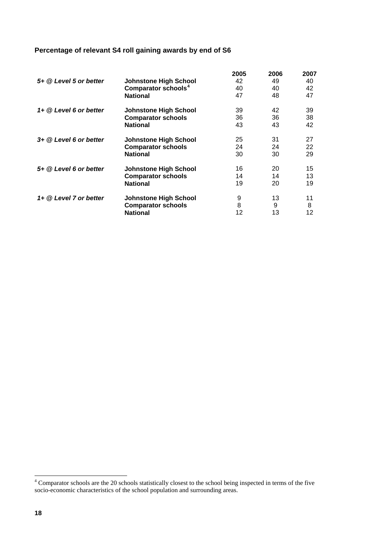# <span id="page-19-0"></span>**Percentage of relevant S4 roll gaining awards by end of S6**

|                          |                                 | 2005 | 2006 | 2007 |
|--------------------------|---------------------------------|------|------|------|
| 5+ @ Level 5 or better   | <b>Johnstone High School</b>    | 42   | 49   | 40   |
|                          | Comparator schools <sup>4</sup> | 40   | 40   | 42   |
|                          | <b>National</b>                 | 47   | 48   | 47   |
| $1+$ @ Level 6 or better | <b>Johnstone High School</b>    | 39   | 42   | 39   |
|                          | <b>Comparator schools</b>       | 36   | 36   | 38   |
|                          | <b>National</b>                 | 43   | 43   | 42   |
| $3+$ @ Level 6 or better | <b>Johnstone High School</b>    | 25   | 31   | 27   |
|                          | <b>Comparator schools</b>       | 24   | 24   | 22   |
|                          | <b>National</b>                 | 30   | 30   | 29   |
| 5+ @ Level 6 or better   | <b>Johnstone High School</b>    | 16   | 20   | 15   |
|                          | <b>Comparator schools</b>       | 14   | 14   | 13   |
|                          | <b>National</b>                 | 19   | 20   | 19   |
| 1+ @ Level 7 or better   | <b>Johnstone High School</b>    | 9    | 13   | 11   |
|                          | <b>Comparator schools</b>       | 8    | 9    | 8    |
|                          | <b>National</b>                 | 12   | 13   | 12   |

<sup>&</sup>lt;sup>4</sup> Comparator schools are the 20 schools statistically closest to the school being inspected in terms of the five socio-economic characteristics of the school population and surrounding areas.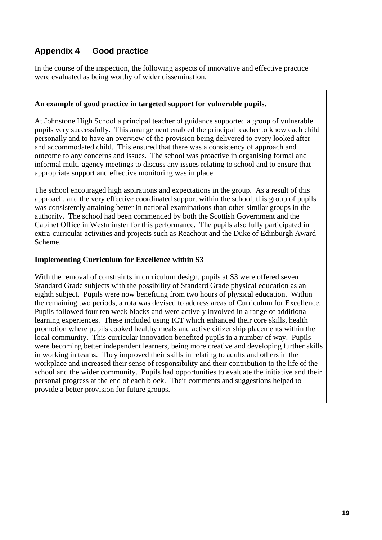# **Appendix 4 Good practice**

In the course of the inspection, the following aspects of innovative and effective practice were evaluated as being worthy of wider dissemination.

#### **An example of good practice in targeted support for vulnerable pupils.**

At Johnstone High School a principal teacher of guidance supported a group of vulnerable pupils very successfully. This arrangement enabled the principal teacher to know each child personally and to have an overview of the provision being delivered to every looked after and accommodated child. This ensured that there was a consistency of approach and outcome to any concerns and issues. The school was proactive in organising formal and informal multi-agency meetings to discuss any issues relating to school and to ensure that appropriate support and effective monitoring was in place.

The school encouraged high aspirations and expectations in the group. As a result of this approach, and the very effective coordinated support within the school, this group of pupils was consistently attaining better in national examinations than other similar groups in the authority. The school had been commended by both the Scottish Government and the Cabinet Office in Westminster for this performance. The pupils also fully participated in extra-curricular activities and projects such as Reachout and the Duke of Edinburgh Award Scheme.

#### **Implementing Curriculum for Excellence within S3**

With the removal of constraints in curriculum design, pupils at S3 were offered seven Standard Grade subjects with the possibility of Standard Grade physical education as an eighth subject. Pupils were now benefiting from two hours of physical education. Within the remaining two periods, a rota was devised to address areas of Curriculum for Excellence. Pupils followed four ten week blocks and were actively involved in a range of additional learning experiences. These included using ICT which enhanced their core skills, health promotion where pupils cooked healthy meals and active citizenship placements within the local community. This curricular innovation benefited pupils in a number of way. Pupils were becoming better independent learners, being more creative and developing further skills in working in teams. They improved their skills in relating to adults and others in the workplace and increased their sense of responsibility and their contribution to the life of the school and the wider community. Pupils had opportunities to evaluate the initiative and their personal progress at the end of each block. Their comments and suggestions helped to provide a better provision for future groups.